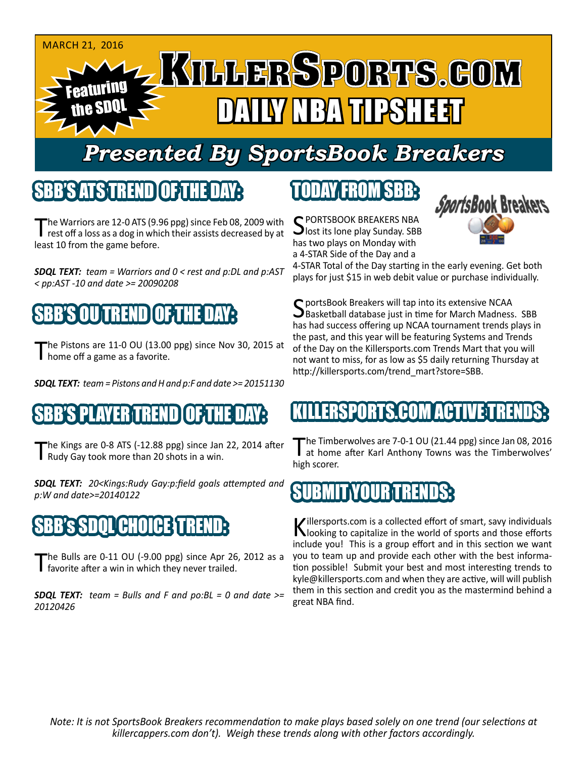

## *Presented By SportsBook Breakers*

### SBB'S ATSTREND

The Warriors are 12-0 ATS (9.96 ppg) since Feb 08, 2009 with<br>rest off a loss as a dog in which their assists decreased by at least 10 from the game before.

*SDQL TEXT: team = Warriors and 0 < rest and p:DL and p:AST < pp:AST -10 and date >= 20090208*



The Pistons are 11-0 OU (13.00 ppg) since Nov 30, 2015 at home off a game as a favorite.

*SDQL TEXT: team = Pistons and H and p:F and date >= 20151130*

#### SBB'S PLAYER TREND OF THE DAY:

The Kings are 0-8 ATS (-12.88 ppg) since Jan 22, 2014 after Rudy Gay took more than 20 shots in a win.

*SDQL TEXT: 20<Kings:Rudy Gay:p:field goals attempted and p:W and date>=20140122*

## $\P$  H  $\Pi$

The Bulls are 0-11 OU (-9.00 ppg) since Apr 26, 2012 as a favorite after a win in which they never trailed.

*SDQL TEXT: team = Bulls and F and po:BL = 0 and date >= 20120426*

## TODAY FROM SBB:

C PORTSBOOK BREAKERS NBA  $\bigcup$  lost its lone play Sunday. SBB has two plays on Monday with a 4-STAR Side of the Day and a



4-STAR Total of the Day starting in the early evening. Get both plays for just \$15 in web debit value or purchase individually.

C portsBook Breakers will tap into its extensive NCAA  $\bigcup$ Basketball database just in time for March Madness. SBB has had success offering up NCAA tournament trends plays in the past, and this year will be featuring Systems and Trends of the Day on the Killersports.com Trends Mart that you will not want to miss, for as low as \$5 daily returning Thursday at http://killersports.com/trend\_mart?store=SBB.

#### ERSPORTS.COM ACT

The Timberwolves are 7-0-1 OU (21.44 ppg) since Jan 08, 2016 at home after Karl Anthony Towns was the Timberwolves' high scorer.

#### SUBMIT YOUR TRENDS:

Killersports.com is a collected effort of smart, savy individuals<br>Nooking to capitalize in the world of sports and those efforts include you! This is a group effort and in this section we want you to team up and provide each other with the best information possible! Submit your best and most interesting trends to kyle@killersports.com and when they are active, will will publish them in this section and credit you as the mastermind behind a great NBA find.

*Note: It is not SportsBook Breakers recommendation to make plays based solely on one trend (our selections at killercappers.com don't). Weigh these trends along with other factors accordingly.*